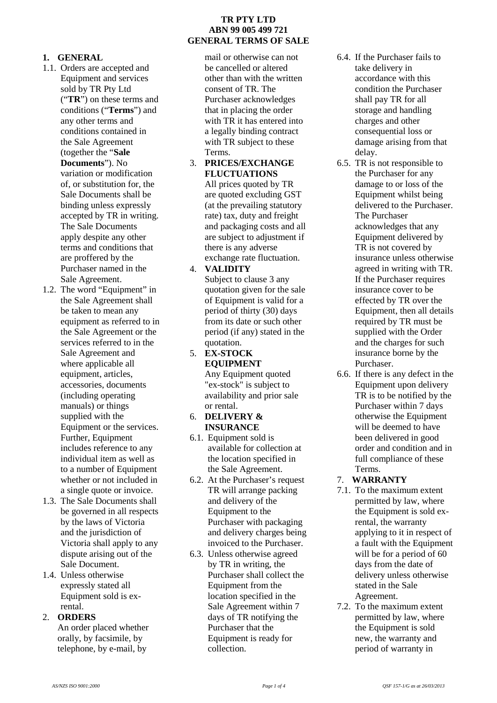## **1. GENERAL**

- 1.1. Orders are accepted and Equipment and services sold by TR Pty Ltd ("**TR**") on these terms and conditions ("**Terms**") and any other terms and conditions contained in the Sale Agreement (together the "**Sale Documents**"). No variation or modification of, or substitution for, the Sale Documents shall be binding unless expressly accepted by TR in writing. The Sale Documents apply despite any other terms and conditions that are proffered by the Purchaser named in the Sale Agreement.
- 1.2. The word "Equipment" in the Sale Agreement shall be taken to mean any equipment as referred to in the Sale Agreement or the services referred to in the Sale Agreement and where applicable all equipment, articles, accessories, documents (including operating manuals) or things supplied with the Equipment or the services. Further, Equipment includes reference to any individual item as well as to a number of Equipment whether or not included in a single quote or invoice.
- 1.3. The Sale Documents shall be governed in all respects by the laws of Victoria and the jurisdiction of Victoria shall apply to any dispute arising out of the Sale Document.
- 1.4. Unless otherwise expressly stated all Equipment sold is exrental.

# 2. **ORDERS**

An order placed whether orally, by facsimile, by telephone, by e-mail, by

# **TR PTY LTD ABN 99 005 499 721 GENERAL TERMS OF SALE**

mail or otherwise can not be cancelled or altered other than with the written consent of TR. The Purchaser acknowledges that in placing the order with TR it has entered into a legally binding contract with TR subject to these Terms.

3. **PRICES/EXCHANGE FLUCTUATIONS**

All prices quoted by TR are quoted excluding GST (at the prevailing statutory rate) tax, duty and freight and packaging costs and all are subject to adjustment if there is any adverse exchange rate fluctuation.

# 4. **VALIDITY**

Subject to clause 3 any quotation given for the sale of Equipment is valid for a period of thirty (30) days from its date or such other period (if any) stated in the quotation.

- 5. **EX-STOCK EQUIPMENT** Any Equipment quoted "ex-stock" is subject to availability and prior sale or rental.
- 6. **DELIVERY & INSURANCE**
- 6.1. Equipment sold is available for collection at the location specified in the Sale Agreement.
- 6.2. At the Purchaser's request TR will arrange packing and delivery of the Equipment to the Purchaser with packaging and delivery charges being invoiced to the Purchaser.
- 6.3. Unless otherwise agreed by TR in writing, the Purchaser shall collect the Equipment from the location specified in the Sale Agreement within 7 days of TR notifying the Purchaser that the Equipment is ready for collection.
- 6.4. If the Purchaser fails to take delivery in accordance with this condition the Purchaser shall pay TR for all storage and handling charges and other consequential loss or damage arising from that delay.
- 6.5. TR is not responsible to the Purchaser for any damage to or loss of the Equipment whilst being delivered to the Purchaser. The Purchaser acknowledges that any Equipment delivered by TR is not covered by insurance unless otherwise agreed in writing with TR. If the Purchaser requires insurance cover to be effected by TR over the Equipment, then all details required by TR must be supplied with the Order and the charges for such insurance borne by the Purchaser.
- 6.6. If there is any defect in the Equipment upon delivery TR is to be notified by the Purchaser within 7 days otherwise the Equipment will be deemed to have been delivered in good order and condition and in full compliance of these Terms.
- 7. **WARRANTY**
- 7.1. To the maximum extent permitted by law, where the Equipment is sold exrental, the warranty applying to it in respect of a fault with the Equipment will be for a period of 60 days from the date of delivery unless otherwise stated in the Sale Agreement.
- 7.2. To the maximum extent permitted by law, where the Equipment is sold new, the warranty and period of warranty in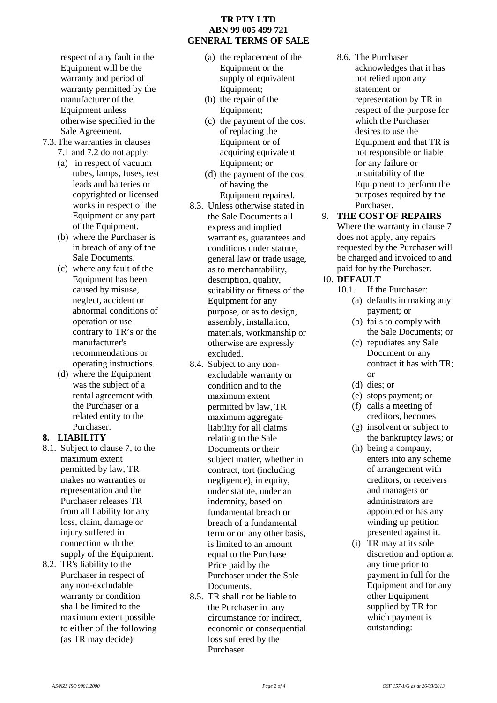respect of any fault in the Equipment will be the warranty and period of warranty permitted by the manufacturer of the Equipment unless otherwise specified in the Sale Agreement.

- 7.3.The warranties in clauses 7.1 and 7.2 do not apply:
	- (a) in respect of vacuum tubes, lamps, fuses, test leads and batteries or copyrighted or licensed works in respect of the Equipment or any part of the Equipment.
	- (b) where the Purchaser is in breach of any of the Sale Documents.
	- (c) where any fault of the Equipment has been caused by misuse, neglect, accident or abnormal conditions of operation or use contrary to TR's or the manufacturer's recommendations or operating instructions.
	- (d) where the Equipment was the subject of a rental agreement with the Purchaser or a related entity to the Purchaser.

### **8. LIABILITY**

- 8.1. Subject to clause 7, to the maximum extent permitted by law, TR makes no warranties or representation and the Purchaser releases TR from all liability for any loss, claim, damage or injury suffered in connection with the supply of the Equipment.
- 8.2. TR's liability to the Purchaser in respect of any non-excludable warranty or condition shall be limited to the maximum extent possible to either of the following (as TR may decide):

## **TR PTY LTD ABN 99 005 499 721 GENERAL TERMS OF SALE**

- (a) the replacement of the Equipment or the supply of equivalent Equipment;
- (b) the repair of the Equipment;
- (c) the payment of the cost of replacing the Equipment or of acquiring equivalent Equipment; or
- (d) the payment of the cost of having the Equipment repaired.
- 8.3. Unless otherwise stated in the Sale Documents all express and implied warranties, guarantees and conditions under statute, general law or trade usage, as to merchantability, description, quality, suitability or fitness of the Equipment for any purpose, or as to design, assembly, installation, materials, workmanship or otherwise are expressly excluded.
- 8.4. Subject to any non excludable warranty or condition and to the maximum extent permitted by law, TR maximum aggregate liability for all claims relating to the Sale Documents or their subject matter, whether in contract, tort (including negligence), in equity, under statute, under an indemnity, based on fundamental breach or breach of a fundamental term or on any other basis, is limited to an amount equal to the Purchase Price paid by the Purchaser under the Sale Documents.
- 8.5. TR shall not be liable to the Purchaser in any circumstance for indirect, economic or consequential loss suffered by the Purchaser
- 8.6. The Purchaser acknowledges that it has not relied upon any statement or representation by TR in respect of the purpose for which the Purchaser desires to use the Equipment and that TR is not responsible or liable for any failure or unsuitability of the Equipment to perform the purposes required by the Purchaser.
- 9. **THE COST OF REPAIRS** Where the warranty in clause 7 does not apply, any repairs requested by the Purchaser will be charged and invoiced to and paid for by the Purchaser.

# 10. **DEFAULT**

- 10.1. If the Purchaser: (a) defaults in making any
	- payment; or (b) fails to comply with the Sale Documents; or
	- (c) repudiates any Sale Document or any contract it has with TR; or
	- (d) dies; or
	- (e) stops payment; or
	- (f) calls a meeting of creditors, becomes
	- (g) insolvent or subject to the bankruptcy laws; or
	- (h) being a company, enters into any scheme of arrangement with creditors, or receivers and managers or administrators are appointed or has any winding up petition presented against it.
	- (i) TR may at its sole discretion and option at any time prior to payment in full for the Equipment and for any other Equipment supplied by TR for which payment is outstanding: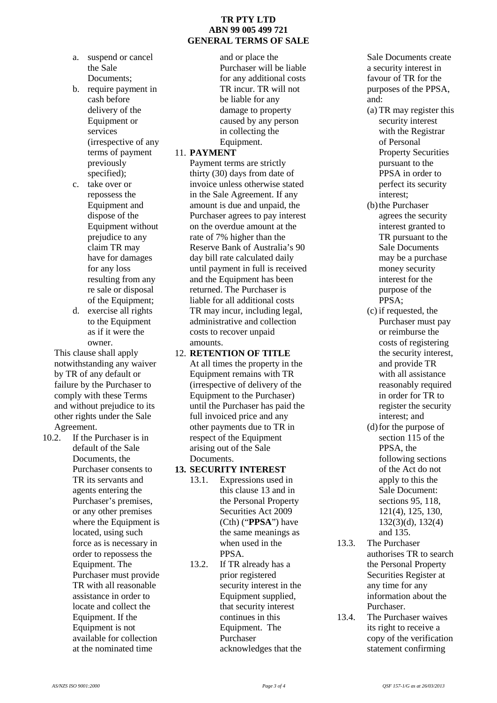#### **TR PTY LTD ABN 99 005 499 721 GENERAL TERMS OF SALE**

- a. suspend or cancel the Sale Documents;
- b. require payment in cash before delivery of the Equipment or services (irrespective of any terms of payment previously specified):
- c. take over or repossess the Equipment and dispose of the Equipment without prejudice to any claim TR may have for damages for any loss resulting from any re sale or disposal of the Equipment;
- d. exercise all rights to the Equipment as if it were the owner.

This clause shall apply notwithstanding any waiver by TR of any default or failure by the Purchaser to comply with these Terms and without prejudice to its other rights under the Sale Agreement.

10.2. If the Purchaser is in default of the Sale Documents, the Purchaser consents to TR its servants and agents entering the Purchaser's premises, or any other premises where the Equipment is located, using such force as is necessary in order to repossess the Equipment. The Purchaser must provide TR with all reasonable assistance in order to locate and collect the Equipment. If the Equipment is not available for collection at the nominated time

and or place the Purchaser will be liable for any additional costs TR incur. TR will not be liable for any damage to property caused by any person in collecting the Equipment.

#### 11. **PAYMENT**

Payment terms are strictly thirty (30) days from date of invoice unless otherwise stated in the Sale Agreement. If any amount is due and unpaid, the Purchaser agrees to pay interest on the overdue amount at the rate of 7% higher than the Reserve Bank of Australia's 90 day bill rate calculated daily until payment in full is received and the Equipment has been returned. The Purchaser is liable for all additional costs TR may incur, including legal, administrative and collection costs to recover unpaid amounts.

# 12. **RETENTION OF TITLE**

At all times the property in the Equipment remains with TR (irrespective of delivery of the Equipment to the Purchaser) until the Purchaser has paid the full invoiced price and any other payments due to TR in respect of the Equipment arising out of the Sale Documents.

# **13. SECURITY INTEREST**

- 13.1. Expressions used in this clause 13 and in the Personal Property Securities Act 2009 (Cth) ("**PPSA**") have the same meanings as when used in the PPSA.
- 13.2. If TR already has a prior registered security interest in the Equipment supplied, that security interest continues in this Equipment. The Purchaser acknowledges that the

Sale Documents create a security interest in favour of TR for the purposes of the PPSA, and:

- (a) TR may register this security interest with the Registrar of Personal Property Securities pursuant to the PPSA in order to perfect its security interest;
- (b) the Purchaser agrees the security interest granted to TR pursuant to the Sale Documents may be a purchase money security interest for the purpose of the PPSA;
- (c) if requested, the Purchaser must pay or reimburse the costs of registering the security interest, and provide TR with all assistance reasonably required in order for TR to register the security interest; and
- (d)for the purpose of section 115 of the PPSA, the following sections of the Act do not apply to this the Sale Document: sections 95, 118, 121(4), 125, 130, 132(3)(d), 132(4) and 135.
- 13.3. The Purchaser authorises TR to search the Personal Property Securities Register at any time for any information about the Purchaser.
- 13.4. The Purchaser waives its right to receive a copy of the verification statement confirming